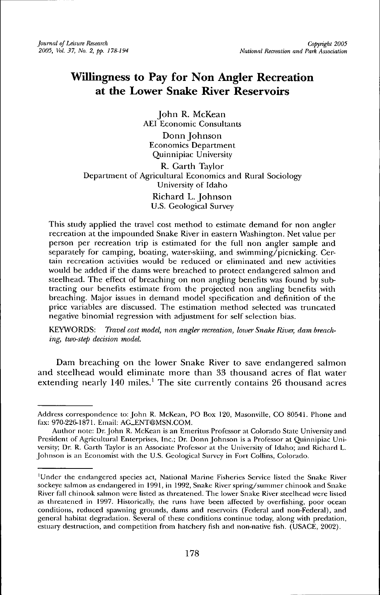# Willingness to Pay for Non Angler Recreation at the Lower Snake River Reservoirs

John R. McKean AEI Economic Consultants Donn Johnson Economics Department Quinnipiac University R. Garth Taytor Department of Agricultural Economics and Rural Sociology University of Idaho Richard L. Johnson U.S. Geological Survey

This study applied the travel cost method to estimate demand for non angler recreation at the impounded Snake River in eastern Washington. Net value per person per recreation trip is estimated for the full non angler sample and separately for camping, boating, water-skiing, and swimming/picnicking. Certain recreation activities would be reduced or eliminated and new activities would he added if the dams were breached to protect endangered salmon and steelhead. The effect of breaching on non angling benefits was found by subtracting our benefits estimate from the projected non angling benefits with breaching. Major issues in demand model specification and definition of the price variables are discussed. The estimation method selected was truncated negative binomial regression with adjustment for self selection bias.

KEYWORDS: *Travel cost model, non angler recreation, lower Snake River, dam breaching, two-step decision model.* 

Dam breaching on the lower Snake River to save endangered salmon and steelhead would eliminate more than 33 thousand acres of flat water extending nearly 140 miles.<sup>1</sup> The site currently contains 26 thousand acres

Address correspondence to: John R. McKean, PO Box 120, Masonville, CO 80541. Phone and fax: 970-226-1871. Email: AG\_ENT@MSN.COM.

Author note: Dr. John R. McKean is an Emeritus Professor at Colorado State University and President of Agricultural Enterprises, Inc.; Dr. Donn Johnson is a Professor at Quinnipiac University: Dr. R. Garth Taylor is an Associate Professor at the University of Idaho; and Richard L. Johnson is an Economist with the U.S. Geological Survey in Fort Collins, Colorado.

<sup>&</sup>lt;sup>1</sup>Under the endangered species act, National Marine Fisheries Service listed the Snake River sockeye salmon as endangered in 1991, in 1992, Snake River spring/summer chinook and Snake River fall chinook salmon were listed as threatened. The lower Snake River steelhead were listed as threatened in 1997. Historically, the runs have been aflected by overfishing, poor ocean conditions, reduced spawning grounds, dams and reservoirs (Federal and non-Federal), and general habitat degradation. Several of these conditions continue today, along with predation, estuary destruction, and competition from hatchery fish and non-native fish. (USACE, 2002).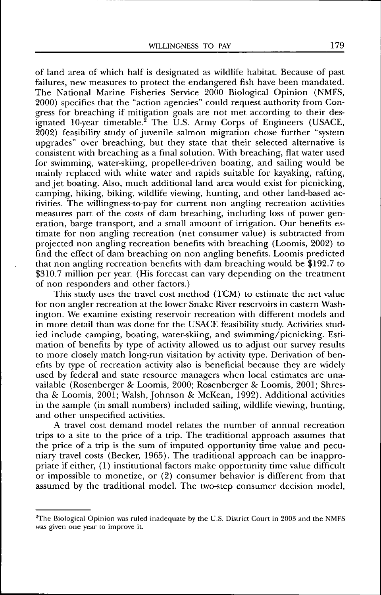of land area of which half is designated as wildlife habitat. Because of past failures, new measures to protect the endangered fish have been mandated. The National Marine Fisheries Service 2000 Biological Opinion (NMFS,  $2000$ ) specifies that the "action agencies" could request authority from Congress for breaching if mitigation goals are not met according to their designated 10-year timetable.<sup>2</sup> The U.S. Army Corps of Engineers (USACE, 2002) feasibility study of juvenile salmon migration chose further "system upgrades" over breaching, but they state that their selected alternative is consistent with breaching as a final solution. With breaching, flat water used for swimming, water-skiing, propeller-driven boating, and sailing would be mainly replaced with white water and rapids suitable for kayaking, rafting, and jet boating. Also, much additional land area would exist for picnicking, camping, hiking, biking, wildlife viewing, hunting, and other land-based activities. The willingness-to-pay for current non angling recreation activities measures part of the costs of dam breaching, including loss of power generation, barge transport, and a small amount of irrigation. Our benefits estimate for non angling recreation (net consumer value) is subtracted from projected non angling recreation benefits with breaching (Loomis, 2002) to find the effect of dam breaching on non angling benefits. Loomis predicted that non angling recreation benefits with dam breaching would be \$192.7 to \$310.7 million per year. (His forecast can vary depending on the treatment of non responders and other factors.)

This study uses the travel cost method (TCM) to estimate the net value for non angler recreation at the lower Snake River reservoirs in eastern Washington. We examine existing reservoir recreation with different models and in more detail than was done for the USACE feasibility study. Activities studied include camping, boating, water-skiing, and swimming/picnicking. Estimation of benefits by type of activity allowed us to adjust our survey results to more closely match long-run visitation by activity type. Derivation of benefits by type of recreation activity also is beneficial because they are widely used by federal and state resource managers when local estimates are unavailable (Rosenberger *8c* Loomis, 2000; Rosenberger & Loomis, 2001; Shrestha & Loomis, 2001; Walsh, Johnson & McKean, 1992). Additional activities in the sample (in small numbers) included sailing, wildlife viewing, hunting, and other unspecified activities.

A travel cost demand model relates the number of annual recreation trips to a site to the price of a trip. The traditional approach assumes that the price of a trip is the sum of imputed opportunity time value and pecuniary travel costs (Becker, 1965). The traditional approach can be inappropriate if either, (1) institutional factors make opportunity time value difficult or impossible to monetize, or (2) consumer behavior is different from that assumed by the traditional model. The two-step consumer decision model.

<sup>&</sup>lt;sup>2</sup>The Biological Opinion was ruled inadequate by the U.S. District Court in 2003 and the NMFS was given one year to improve it.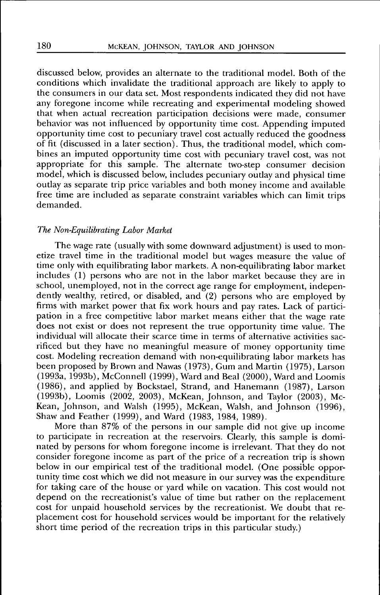discussed below, provides an alternate to the traditional model. Both of the conditions which invalidate the traditional approach are likely to apply to the consumers in our data set. Most respondents indicated they did not have any foregone income while recreating and experimental modeling showed that when actual recreation participation decisions were made, consumer behavior was not influenced by opportunity time cost. Appending imputed opportunity time cost to pecuniary travel cost actually reduced the goodness of fit (discussed in a later section). Thus, the traditional model, which combines an imputed opportunity time cost with pecuniary travel cost, was not appropriate for this sample. The alternate two-step consumer decision model, which is discussed below, includes pecuniary outlay and physical time outlay as separate trip price variables and both money income and available free time are included as separate constraint variables which can limit trips demanded.

#### *The Non-Equilibrating Labor Market*

The wage rate (usually with some downward adjustment) is used to monetize travel time in the traditional model but wages measure the value of time only with equilibrating labor markets. A non-equilibrating labor market includes (1) persons who are not in the labor market because they are in school, unemployed, not in the correct age range for employment, independently wealthy, retired, or disabled, and (2) persons who are employed by firms with market power that fix work hours and pay rates. Lack of participation in a free competitive labor market means either that the wage rate does not exist or does not represent the true opportunity time value. The individual will allocate their scarce time in terms of alternative activities sacrificed but they have no meaningful measure of money opportunity time cost. Modeling recreation demand with non-equilibrating labor markets has been proposed by Brown and Nawas (1973), Cum and Martin (1975), Larson (1993a, 1993b), McConnell (1999), Ward and Beal (2000), Ward and Loomis (1986), and applied by Bockstael, Strand, and Hanemann (1987), Larson (1993b), Loomis (2002, 2003), McKean, Johnson, and Taylor (2003), Mc-Kean, Johnson, and Walsh (1995), McKean, Walsh, and Johnson (1996), Shaw and Feather (1999), and Ward (1983, 1984, 1989).

More than 87% of the persons in our sample did not give up income to participate in recreation at the reservoirs. Clearly, this sample is dominated by persons for whom foregone income is irrelevant. That they do not consider foregone income as part of the price of a recreation trip is shown below in our empirical test of the traditional model. (One possible opportunity time cost which we did not measure in our survey was the expenditure for taking care of the house or yard while on vacation. This cost would not depend on the recreationist's value of time but rather on the replacement cost for unpaid household services by the recreationist. We doubt that replacement cost for household services would be important for the relatively short time period of the recreation trips in this particular study.)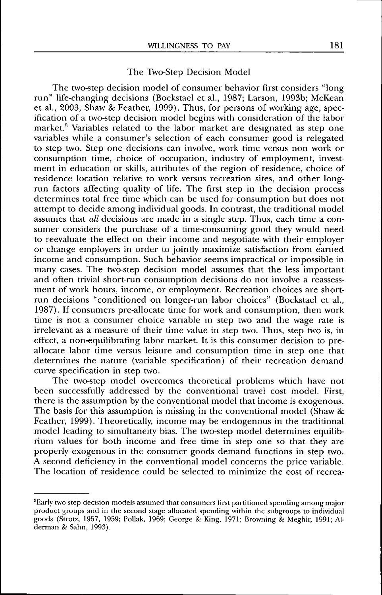#### The Two-Step Decision Model

The two-step decision model of consumer behavior first considers "long run" life-changing decisions (Bockstael et al., 1987; Larson, 1993b; McKean et al., 2003; Shaw & Feather, 1999). Thus, for persons of working age, specification of a two-step decision model begins with consideration of the labor market.<sup>3</sup> Variables related to the labor market are designated as step one variables while a consumer's selection of each consumer good is relegated to step two. Step one decisions can involve, work time versus non work or consumption time, choice of occupation, industry of employment, investment in education or skills, attributes of the region of residence, choice of residence location relative to work versus recreation sites, and other longrun factors affecting quality of life. The first step in the decision process determines total free time which can be used for consumption but does not attempt to decide among individual goods. In contrast, the traditional model assumes that *all* decisions are made in a single step. Thus, each time a consumer considers the purchase of a time-consuming good they would need to reevaluate the effect on their income and negotiate with their employer or change employers in order to jointly maximize satisfaction from earned income and consumption. Such behavior seems impractical or impossible in many cases. The two-step decision model assumes that the less important and often trivial short-run consumption decisions do not involve a reassessment of work hours, income, or employment. Recreation choices are shortrun decisions "conditioned on longer-run labor choices" (Bockstael et al., 1987). If consumers pre-allocate time for work and consumption, then work time is not a consumer choice variable in step two and the wage rate is irrelevant as a measure of their time value in step two. Thus, step two is, in effect, a non-equilibrating labor market. It is this consumer decision to preallocate labor time versus leisure and consumption time in step one that determines the nature (variable specification) of their recreation demand curve specification in step two.

The two-step model overcomes theoretical problems which have not been successfully addressed by the conventional travel cost model. First, there is the assumption by the conventional model that income is exogenous. The basis for this assumption is missing in the conventional model (Shaw & Feather, 1999). Theoretically, income may be endogenous in the traditional model leading to simultaneity bias. The two-step model determines equilibrium values for both income and free time in step one so that they are properly exogenous in the consumer goods demand functions in step two. A second deficiency in the conventional model concerns the price variable. The location of residence could be selected to minimize the cost of recrea-

<sup>&#</sup>x27;Early two step decision models assumed that consumers first partitioned spending among major product groups and in the second stage allocated spending within the subgroups to individual goods (Strotz, 1957, 1959; Pollak, 1969; George & King, 1971; Browning & Meghir, 1991; Alderman & Sahn, 1993).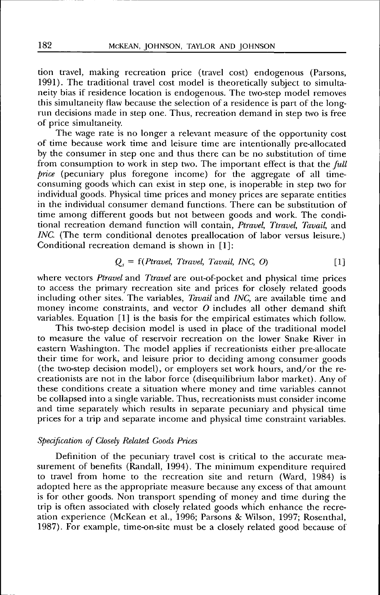tion travel, making recreation price (travel cost) endogenous (Parsons, 1991). The traditional travel cost model is theoretically subject to simultaneity bias if residence location is endogenous. The two-step model removes this simultaneity flaw because the selection of a residence is part of the longrun decisions made in step one. Thus, recreation demand in step two is free of price simultaneity.

The wage rate is no longer a relevant measure of the opportunity cost of time because work time and leisure time are intentionally pre-allocated by the consumer in step one and thus there can be no substitution of time from consumption to work in step two. The important effect is that the *full price* (pecuniary plus foregone income) for the aggregate of all timeconsuming goods which can exist in step one, is inoperable in step two for individual goods. Physical time prices and money prices are separate entities in the individual consumer demand functions. There can be substitution of time among different goods but not between goods and work. The conditional recreation demand function will contain, *Ptravel, Ttravel, Tavail,* and *INC.* (The term conditional denotes preallocation of labor versus leisure.) Conditional recreation demand is shown in [1]:

$$
Q_s = f(Ptravel, \; Travel, \; Tavail, \; INC, \; O)
$$
 [1]

where vectors *Ptravel* and *Ttravel* are out-of-pocket and physical time prices to access the primary recreation site and prices for closely related goods including other sites. The variables, *Tavail* and *INC,* are available time and money income constraints, and vector *O* includes all other demand shift variables. Equation [1] is the basis for the empirical estimates which follow.

This two-step decision model is used in place of the traditional model to measure the value of reservoir recreation on the lower Snake River in eastern Washington. The model applies if recreationists either pre-allocate their time for work, and leisure prior to deciding among consumer goods (the two-step decision model), or employers set work hours, and/or the recreationists are not in the labor force (disequilibrium labor market). Any of these conditions create a situation where money and time variables cannot be collapsed into a single variable. Thus, recreationists must consider income and time separately which results in separate pecuniary and physical time prices for a trip and separate income and physical time constraint variables.

## *Specification of Closely Related Coods Prices*

Definition of the pecuniary travel cost is critical to the accurate measurement of benefits (Randall, 1994). The minimum expenditure required to travel from home to the recreation site and return (Ward, 1984) is adopted here as the appropriate measure because any excess of that amount is for other goods. Non transport spending of money and time during the trip is often associated with closely related goods which enhance the recreation experience (McKean et al., 1996; Parsons *8c* Wilson, 1997; Rosenthal, 1987). For example, time-on-site must be a closely related good because of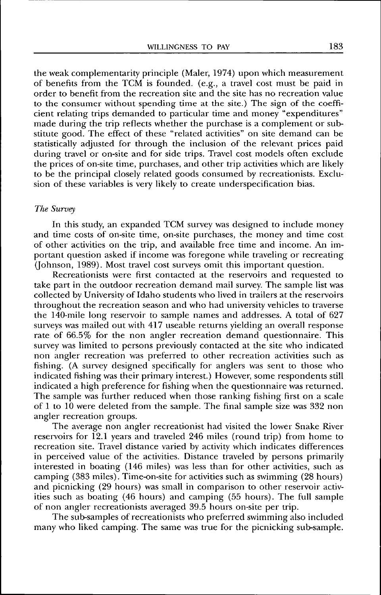the weak complementarity principle (Maier, 1974) upon which measurement of benefits from the TCM is founded, (e.g., a travel cost must be paid in order to benefit from the recreation site and the site has no recreation value to the consumer without spending time at the site.) The sign of the coefficient relating trips demanded to particular time and money "expenditures" made during the trip reflects whether the purchase is a complement or substitute good. The effect of these "related activities" on site demand can be statistically adjusted for through the inclusion of the relevant prices paid during travel or on-site and for side trips. Travel cost models often exclude the prices of on-site time, purchases, and other trip activities which are likely to be the principal closely related goods consumed by recreationists. Exclusion of these variables is very likely to create underspecification bias.

## *The Survey*

In this study, an expanded TCM survey was designed to include money and time costs of on-site time, on-site purchases, the money and time cost of other activities on the trip, and available free time and income. An important question asked if income was foregone while traveling or recreating (Johnson, 1989). Most travel cost surveys omit this important question.

Recreationists were first contacted at the reservoirs and requested to take part in the outdoor recreation demand mail survey. The sample list was collected by University of Idaho students who lived in trailers at the reservoirs throughout the recreation season and who had university vehicles to traverse the 140-mile long reservoir to sample names and addresses. A total of 627 surveys was mailed out with 417 useable returns yielding an overall response rate of 66.5% for the non angler recreation demand questionnaire. This survey was limited to persons previously contacted at the site who indicated non angler recreation was preferred to other recreation activities such as fishing. (A survey designed specifically for anglers was sent to those who indicated fishing was their primary interest.) However, some respondents still indicated a high preference for fishing when the questionnaire was returned. The sample was further reduced when those ranking fishing first on a scale of 1 to 10 were deleted from the sample. The final sample size was 332 non angler recreation groups.

The average non angler recreationist had visited the lower Snake River reservoirs for 12.1 years and traveled 246 miles (round trip) from home to recreation site. Travel distance varied by activity which indicates differences in perceived value of the activities. Distance traveled by persons prirnarily interested in boating (146 miles) was less than for other activities, such as camping (383 miles). Time-on-site for activities such as swimming (28 hours) and picnicking (29 hours) was small in comparison to other reservoir activities such as boating (46 hours) and camping (55 hours). The full sample of non angler recreationists averaged 39.5 hours on-site per trip.

The sub-samples of recreationists who preferred swimming also included many who liked camping. The same was true for the picnicking sub-sample.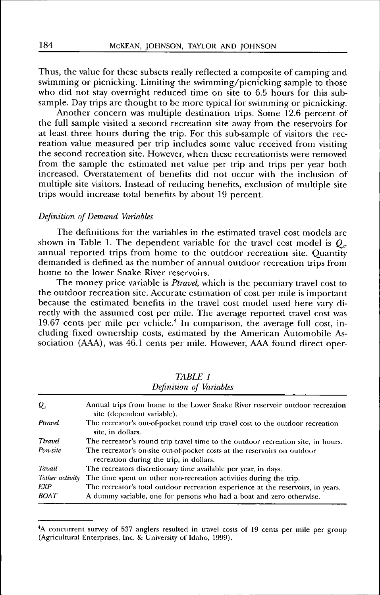Thus, the value for these subsets really reflected a composite of camping and swimming or picnicking. Limiting the swimming/picnicking sample to those who did not stay overnight reduced time on site to 6.5 hours for this subsample. Day trips are thought to be more typical for swimming or picnicking.

Another concern was multiple destination trips. Some 12.6 percent of the full sample visited a second recreation site away from the reservoirs for at least three hours during the trip. For this sub-sample of visitors the recreation value measured per trip includes some value received from visiting the second recreation site. However, when these recreationists were removed from the sample the estimated net value per trip and trips per year both increased. Overstatement of benefits did not occur with the inclusion of multiple site visitors. Instead of reducing benefits, exclusion of multiple site trips would increase total benefits by about 19 percent.

# *Definition of Demand Variables*

The definitions for the variables in the estimated travel cost models are shown in Table 1. The dependent variable for the travel cost model is *Q\_^,* annual reported trips from home to the outdoor recreation site. Quantity demanded is defined as the number of annual outdoor recreation trips from home to the lower Snake River reservoirs.

The money price variable is *Ptravel,* which is the pecuniary travel cost to the outdoor recreation site. Accurate estimation of cost per mile is important because the estimated benefits in the travel cost model used here vary directly with the assumed cost per mile. The average reported travel cost was 19.67 cents per mile per vehicle.'' In comparison, the average full cost, including fixed ownership costs, estimated by the American Automobile Association (AAA), was 46.1 cents per mile. However, AAA found direct oper-

# *TABLE 1 Definition of Variables*

| Annual trips from home to the Lower Snake River reservoir outdoor recreation<br>site (dependent variable).          |
|---------------------------------------------------------------------------------------------------------------------|
| The recreator's out-of-pocket round trip travel cost to the outdoor recreation                                      |
| site, in dollars.                                                                                                   |
| The recreator's round trip travel time to the outdoor recreation site, in hours.                                    |
| The recreator's on-site out-of-pocket costs at the reservoirs on outdoor<br>recreation during the trip, in dollars. |
| The recreators discretionary time available per year, in days.                                                      |
| The time spent on other non-recreation activities during the trip.                                                  |
| The recreator's total outdoor recreation experience at the reservoirs, in years.                                    |
| A dummy variable, one for persons who had a boat and zero otherwise.                                                |
|                                                                                                                     |

<sup>&</sup>lt;sup>4</sup>A concurrent survey of 537 anglers resulted in travel costs of 19 cents per mile per group (Agricultural Enterprises, Inc. & University of Idaho, 1999).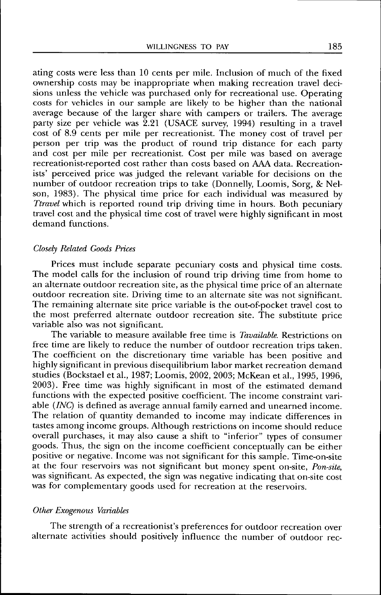ating costs were less than 10 cents per mile. Inclusion of much of the fixed ownership costs may be inappropriate when making recreation travel decisions unless the vehicle was purchased only for recreational use. Operating costs for vehicles in our sample are likely to be higher than the national average because of the larger share with campers or trailers. The average party size per vehicle was 2.21 (USACE survey, 1994) resulting in a travel cost of 8.9 cents per mile per recreationist. The money cost of travel per person per trip was the product of round trip distance for each party and cost per mile per recreationist. Cost per mile was based on average recreadonist-reported cost rather than costs based on AAA data. Recreationists' perceived price was judged the relevant variable for decisions on the number of outdoor recreation trips to take (Donnelly, Loomis, Sorg, & Nelson, 1983). The physical time price for each individual was measured by *Ttravel* which is reported round trip driving time in hours. Both pecuniary travel cost and the physical time cost of travel were highly significant in most demand functions.

#### *Closely Related Coods Prices*

Prices must include separate pecuniary costs and physical time costs. The model calls for the inclusion of round trip driving time from home to an alternate outdoor recreation site, as the physical time price of an alternate outdoor recreation site. Driving time to an alternate site was not significant. The remaining alternate site price variable is the out-of-pocket travel cost to the most preferred alternate outdoor recreation site. The substitute price variable also was not significant.

The variable to measure available free time is *Tavailable.* Restrictions on free time are likely to reduce the number of outdoor recreation trips taken. The coefficient on the discretionary time variable has been positive and highly significant in previous disequilibrium labor market recreation demand studies (Bockstael etal., 1987; Loomis, 2002, 2003; McKean etal., 1995, 1996, 2003). Free time was highly significant in most of the estimated demand functions with the expected positive coefficient. The income constraint variable *{INC)* is defined as average annual family earned and unearned income. The relation of quantity demanded to income may indicate differences in tastes among income groups. Although restricdons on income should reduce overall purchases, it may also cause a shift to "inferior" types of consumer goods. Thus, the sign on the income coefficient conceptually can be either positive or negative. Income was not significant for this sample. Time-on-site at the four reservoirs was not significant but money spent on-site, *Pon-site,* was significant. As expected, the sign was negative indicating that on-site cost was for complementary goods used for recreation at the reservoirs.

## *Other Exogenous Variables*

The strength of a recreationist's preferences for outdoor recreation over alternate activities should positively influence the number of outdoor rec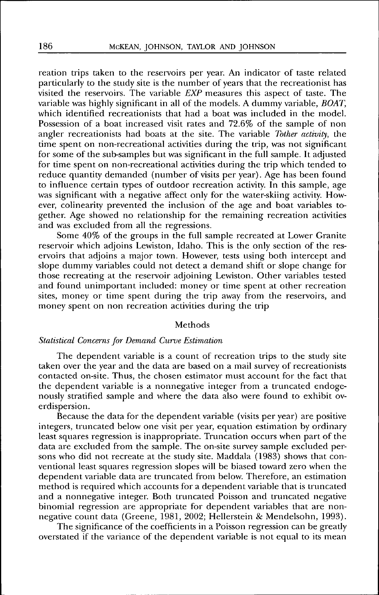reation trips taken to the reservoirs per year. An indicator of taste related particularly to the study site is the number of years that the recreationist has visited the reservoirs. The variable *EXP* measures this aspect of taste. The variable was highly significant in all of the models. A dummy variable, *BOAT,* which identified recreationists that had a boat was included in the model. Possession of a boat increased visit rates and 72.6% of the sarnple of non angler recreationists had boats at the site. The variable *Tother activity,* the time spent on non-recreational activities during the trip, was not significant for some of the sub-samples but was significant in the full sample. It adjusted for time spent on non-recreational activities during the trip which tended to reduce quantity demanded (number of visits per year). Age has been found to influence certain types of outdoor recreation activity. In this sample, age was significant with a negative affect only for the water-skiing activity. However, colinearity prevented the inclusion of the age and boat variables together. Age showed no relationship for the remaining recreation activities and was excluded from all the regressions.

Some 40% of the groups in the full sample recreated at Lower Granite reservoir which adjoins Lewiston, Idaho. This is the only section of the reservoirs that adjoins a major town. However, tests using both intercept and slope dummy variables could not detect a demand shift or slope change for those recreating at the reservoir adjoining Lewiston. Other variables tested and found unimportant included: money or time spent at other recreation sites, money or time spent during the trip away from the reservoirs, and money spent on non recreation activities during the trip

#### Methods

# *Statistical Concems for Demand Curve Estimation*

The dependent variable is a count of recreation trips to the study site taken over the year and the data are based on a mail survey of recreationists contacted on-site. Thus, the chosen estimator must account for the fact that the dependent variable is a nonnegative integer from a truncated endogenously stratified sample and where the data also were found to exhibit overdispersion.

Because the data for the dependent variable (visits per year) are positive integers, truncated below one visit per year, equation estimation by ordinary least squares regression is inappropriate. Truncation occurs when part of the data are excluded from the sample. The on-site survey sample excluded persons who did not recreate at the study site. Maddala (1983) shows that conventional least squares regression slopes will be biased toward zero when the dependent variable data are truncated from below. Therefore, an estimation method is required which accounts for a dependent variable that is truncated and a nonnegative integer. Both truncated Poisson and truncated negative binomial regression are appropriate for dependent variables that are nonnegative count data (Greene, 1981, 2002; Hellerstein & Mendelsohn, 1993).

The significance of the coefficients in a Poisson regression can be greatly overstated if the variance of the dependent variable is not equal to its mean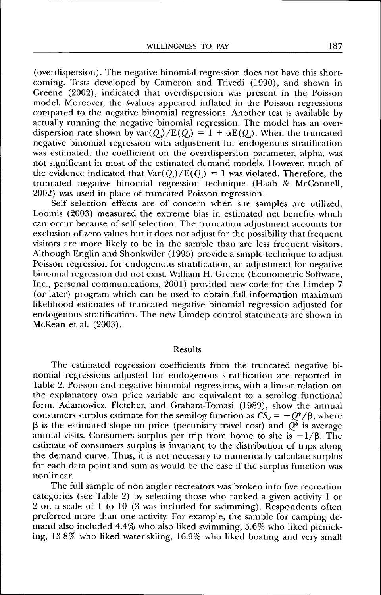(overdispersion). The negative binomial regression does not have this shortcoming. Tests developed by Cameron and Trivedi (1990), and shown in Greene (2002), indicated that overdispersion was present in the Poisson model. Moreover, the  $\epsilon$  values appeared inflated in the Poisson regressions compared to the negative binomial regressions. Another test is available by actually running the negative binomial regression. The model has an overdispersion rate shown by var $(Q_i)/E(Q_i) = 1 + \alpha E(Q_i)$ . When the truncated negative binomial regression with adjustment for endogenous stratification was estimated, the coefficient on the overdispersion parameter, alpha, was not significant in most of the estimated demand models. However, much of the evidence indicated that  $Var(Q)/E(Q) = 1$  was violated. Therefore, the truncated negative binomial regression technique (Haab & McConnell, 2002) was used in place of truncated Poisson regression.

Self selection effects are of concern when site samples are utilized. Loomis (2003) measured the extreme bias in estimated net benefits which can occur because of self selection. The truncation adjustment accounts for exclusion of zero values but it does not adjust for the possibility that frequent visitors are more likely to be in the sample than are less frequent visitors. Although Englin and Shonkwiler (1995) provide a simple technique to adjust Poisson regression for endogenous stratification, an adjustment for negative binomial regression did not exist. William H. Greene (Econometric Software, Inc., personal communications, 2001) provided new code for the Limdep 7 (or later) program which can be used to obtain full information maximum likelihood estimates of truncated negative binomial regression adjusted for endogenous stratification. The new Limdep control statements are shown in McKean et al. (2003).

## Results

The estimated regression coefficients from the truncated negative binomial regressions adjusted for endogenous stratification are reported in Table 2. Poisson and negative binomial regressions, with a linear relation on the explanatory own price variable are equivalent to a semilog functional form. Adamowicz, Fletcher, and Graham-Tomasi (1989), show the annual consumers surplus estimate for the semilog function as  $CS_d = -Q^*/\beta$ , where  $\beta$  is the estimated slope on price (pecuniary travel cost) and  $Q^*$  is average annual visits. Consumers surplus per trip from home to site is  $-1/\beta$ . The estimate of consumers surplus is invariant to the distribution of trips along the demand curve. Thus, it is not necessary to numerically calculate surplus for each data point and sum as would be the case if the surplus function was nonlinear.

The full sample of non angler recreators was broken into five recreation categories (see Table 2) by selecting those who ranked a given activity 1 or 2 on a scale of 1 to 10 (3 was included for swimming). Respondents often preferred more than one activity. For example, the sample for camping demand also included 4.4% who also liked swimming, 5.6% who liked picnicking, 13.8% who liked water-skiing, 16.9% who liked boating and very small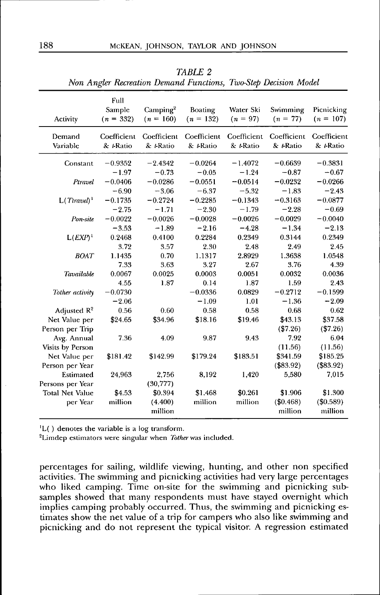| Activity                           | Full<br>Sample<br>$(n = 332)$ | Camping <sup>2</sup><br>$(n = 160)$ | Boating<br>$(n = 132)$           | Water Ski<br>$(n = 97)$  | Swimming<br>$(n = 77)$   | Picnicking<br>$(n = 107)$ |
|------------------------------------|-------------------------------|-------------------------------------|----------------------------------|--------------------------|--------------------------|---------------------------|
| Demand<br>Variable                 | Coefficient<br>& t-Ratio      | Coefficient<br>& t-Ratio            | Coefficient<br>& <i>t</i> -Ratio | Coefficient<br>& t-Ratio | Coefficient<br>& t-Ratio | Coefficient<br>& t-Ratio  |
| Constant                           | $-0.9352$<br>$-1.97$          | $-2.4342$<br>$-0.73$                | $-0.0264$<br>$-0.05$             | $-1.4072$<br>$-1.24$     | $-0.6639$<br>$-0.87$     | $-0.3831$<br>$-0.67$      |
| Ptravel                            | $-0.0406$<br>$-6.90$          | $-0.0286$<br>$-3.06$                | $-0.0551$<br>$-6.37$             | $-0.0514$<br>$-5.32$     | $-0.0232$<br>$-1.83$     | $-0.0266$<br>$-2.43$      |
| $L(Ttravel)^{1}$                   | $-0.1735$<br>$-2.75$          | $-0.2724$<br>$-1.71$                | $-0.2285$<br>$-2.30$             | $-0.1343$<br>$-1.79$     | $-0.3163$<br>$-2.28$     | $-0.0877$<br>$-0.69$      |
| Pon-site                           | $-0.0022$<br>$-3.53$          | $-0.0026$<br>$-1.89$                | $-0.0028$<br>$-2.16$             | $-0.0026$<br>$-4.28$     | $-0.0029$<br>$-1.34$     | $-0.0040$<br>$-2.13$      |
| L(EXP <sup>1</sup>                 | 0.2468<br>3.72                | 0.4100<br>3.57                      | 0.2284<br>2.30                   | 0.2349<br>2.48           | 0.3144<br>2.49           | 0.2349<br>2.45            |
| <b>BOAT</b><br>Tavailable          | 1.1435<br>7.33<br>0.0067      | 0.70<br>3.63<br>0.0025              | 1.1317<br>3.27<br>0.0003         | 2.8929<br>2.67<br>0.0051 | 1.3638<br>3.76<br>0.0032 | 1.0548<br>4.39<br>0.0036  |
| Tother activity                    | 4.55<br>$-0.0730$             | 1.87                                | 0.14<br>$-0.0336$                | 1.87<br>0.0829           | 1.59<br>$-0.2712$        | 2.43<br>$-0.1599$         |
| Adjusted $\mathbb{R}^2$            | $-2.06$<br>0.56               | 0.60                                | $-1.09$<br>0.58                  | 1.01<br>0.58             | $-1.36$<br>0.68          | $-2.09$<br>0.62           |
| Net Value per<br>Person per Trip   | \$24.65                       | \$34.96                             | \$18.16                          | \$19.46                  | \$43.13<br>(\$7.26)      | \$37.58<br>(\$7.26)       |
| Avg. Annual<br>Visits by Person    | 7.36                          | 4.09                                | 9.87                             | 9.43                     | 7.92<br>(11.56)          | 6.04<br>(11.56)           |
| Net Value per<br>Person per Year   | \$181.42                      | \$142.99                            | \$179.24                         | \$183.51                 | \$341.59<br>(\$83.92)    | \$185.25<br>$(\$83.92)$   |
| Estimated<br>Persons per Year      | 24,963<br>\$4.53              | 2,756<br>(30, 777)                  | 8,192<br>\$1.468                 | 1,420<br>\$0.261         | 5,580<br>\$1.906         | 7,015<br>\$1.300          |
| <b>Total Net Value</b><br>per Year | million                       | \$0.394<br>(4.400)<br>million       | million                          | million                  | (\$0.468)<br>million     | $(\$0.589)$<br>million    |

| TABLE 2                                                         |  |  |  |  |  |
|-----------------------------------------------------------------|--|--|--|--|--|
| Non Angler Recreation Demand Functions, Two-Step Decision Model |  |  |  |  |  |

'L( ) denotes the variable is a log transform.

<sup>2</sup>Limdep estimators were singular when *Tother* was included.

percentages for sailing, wildlife viewing, hunting, and other non specified activities. The swimming and picnicking activities had very large percentages who liked camping. Time on-site for the swimming and picnicking subsamples showed that many respondents must have stayed overnight which implies camping probably occurred. Thus, the swimming and picnicking estimates show the net value of a trip for campers who also like swimming and picnicking and do not represent the typical visitor, A regression estimated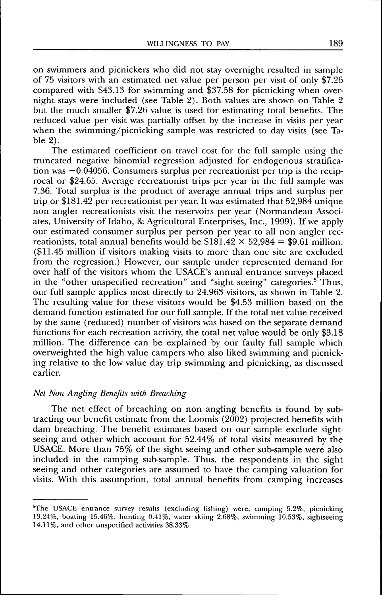on swimmers and picnickers who did not stay overnight resulted in sample of 75 visitors with an estimated net value per person per visit of only \$7.26 compared with \$43.13 for swimming and \$37.58 for picnicking when overnight stays were included (see Table 2). Both values are shown on Table 2 but the much smaller \$7.26 value is used for estimating total benefits. The reduced value per visit was partially offset by the increase in visits per year when the swimming/picnicking sample was restricted to day visits (see Table 2),

The estimated coefficient on travel cost for the full sample using the truncated negative binomial regression adjusted for endogenous stratification was  $-0.04056$ . Consumers surplus per recreationist per trip is the reciprocal or \$24.65. Average recreationist trips per year in the full sample was 7.36. Total surplus is the product of average annual trips and surplus per trip or \$181.42 per recreationist per year. It was estimated that 52,984 unique non angler recreationists visit the reservoirs per year (Normandeau Associates, University of Idaho, & Agricultural Enterprises, Inc., 1999). If we apply our estimated consumer surplus per person per year to all non angler recreationists, total annual benefits would be  $$181.42 \times 52.984 = $9.61$  million. (\$11.45 million if visitors making visits to more than one site are excluded from the regression.) However, our sample under represented demand for over half of the visitors whom the USACE's annual entrance surveys placed in the "other unspecified recreation" and "sight seeing" categories.<sup>5</sup> Thus, our full sample applies most directly to 24,963 visitors, as shown in Table 2. The resulting value for these visitors would be \$4.53 million based on the demand function estimated for our full sample. If the total net value received by the same (reduced) number of visitors was based on the separate demand functions for each recreation activity, the total net value would be only \$3.18 million. The difference can be explained by our faulty full sample which overweighted the high value campers who also liked swimming and picnicking relative to the low value day trip swimming and picnicking, as discussed earlier.

## *Net Non Angling Benefits with Breaching*

The net effect of breaching on non angling benefits is found by subtracting our benefit estimate from the Loomis (2002) projected benefits with dam breaching. The benefit estimates based on our sample exclude sightseeing and other which account for 52.44% of total visits measured by the USACE. More than 75% of the sight seeing and other sub-sample were also included in the camping sub-sample. Thus, the respondents in the sight seeing and other categories are assumed to have the camping valuation for visits. With this assumption, total annual benefits from camping increases

<sup>&</sup>lt;sup>5</sup>The USACE entrance survey results (excluding fishing) were, camping 5.2%, picnicking 13.24%, boating 15.46%, hunting 0,41%, water skiing 2,68%, swimming 10,53%, sightseeing 14.11%, and other unspecified activities 38.33%.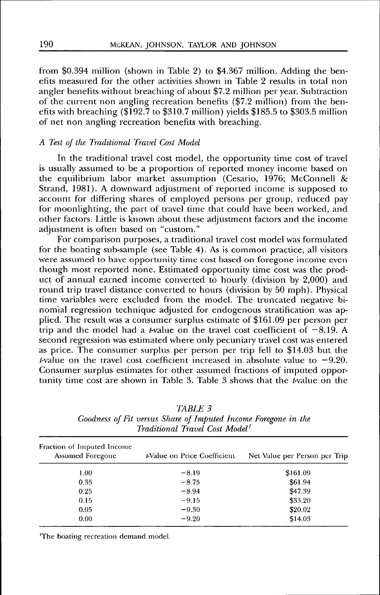from \$0,394 million (shown in Table 2) to \$4,367 million. Adding the benefits measured for the other activities shown in Table 2 results in total non angler benefits without breaching of about \$7.2 million per year. Subtraction of the current non angling recreation benefits (\$7.2 million) from the benefits with breaching  $\left(\frac{102.7}{10}\right)$  to \$310.7 million) yields \$185.5 to \$303.5 million of net non angling recreation benefits with breaching.

#### A Test of the Traditional Travel Cost Model

In tbe traditional travel cost model, the opportunity time cost of travel is usually assumed to be a proportion of reported money income based on the equilibrium labor market assumption (Cesario, 1976; McConnell & Strand, 1981). A downward adjustment of reported income is supposed to account for differing shares of employed persons per group, reduced pay for moonlighting, the part of travel time that could have been worked, and other factors. Little is known about tbese adjustment factors and the income adjustment is often based on "custom."

For comparison purposes, a traditional travel cost model was formulated for tbe boating sub-sample (see Table 4). As is common practice, all visitors were assumed to bave opportunity time cost based on foregone income even though most reported none. Estimated opportunity time cost was the product of annual earned income converted to hourly (division by 2,000) and round trip travel distance converted to hours (division by 50 mph). Physical time variables were excluded from the model. The truncated negative binomial regression technique adjusted for endogenous stratification was applied. Tbe result was a consumer surplus estimate of \$161.09 per person per trip and the model had a *t*-value on the travel cost coefficient of  $-8.19$ . A second regression was estimated wbere only pecuniary travel cost was entered as price. The consumer surplus per person per trip fell to \$14.03 but tbe  $t$ value on the travel cost coefficient increased in absolute value to  $-9.20$ . Consumer surplus estimates for other assumed fractions of imputed opportunity time cost are shown in Table 3. Table 3 shows that the  $\ell$ -value on the

| Fraction of Imputed Income<br>Assumed Foregone | <b><i>t</i>Value on Price Coefficient</b> | Net Value per Person per Trip |
|------------------------------------------------|-------------------------------------------|-------------------------------|
| 1.00                                           | $-8.19$                                   | \$161.09                      |
| 0.35                                           | $-8.75$                                   | \$61.94                       |
| 0.25                                           | $-8.94$                                   | \$47.39                       |
| 0.15                                           | $-9.15$                                   | \$33.20                       |
| 0.05                                           | $-9.30$                                   | \$20.02                       |
| 0.00                                           | $-9.20$                                   | \$14.03                       |

TABLE 3 *Goodness of Fit versus Share of Imputed Income Foregone in the Traditional Travel Cost Model'*

<sup>1</sup>The boating recreation demand model.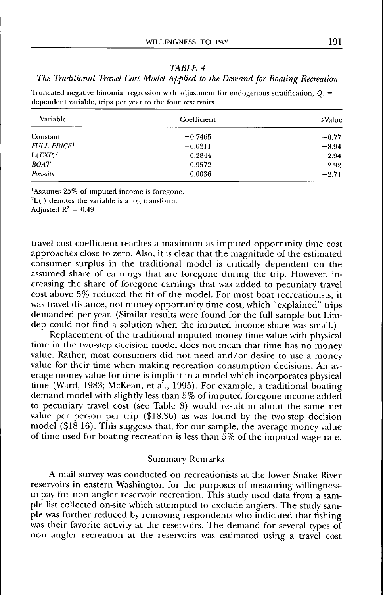# *TABLE 4*

# *The Traditional Travel Cost Model Applied to the Demand for Boating Recreation*

Truncated negative binomial regression with adjustment for endogenous stratification,  $Q_s =$ dependent variable, trips per year to the four reservoirs

| Coefficient | t-Value |
|-------------|---------|
| $-0.7465$   | $-0.77$ |
| $-0.0211$   | $-8.94$ |
| 0.2844      | 2.94    |
| 0.9572      | 2.92    |
| $-0.0036$   | $-2.71$ |
|             |         |

'Assumes 25% of imputed income is foregone.

<sup>2</sup>L() denotes the variable is a log transform.

Adjusted  $R^2 = 0.49$ 

travel cost coefficient reaches a maximum as imputed opportunity time cost approaches close to zero. Also, it is clear that the magnitude of the estimated consumer surplus in the traditional model is critically dependent on the assumed share of earnings that are foregone during the trip. However, increasing the share of foregone earnings that was added to pecuniary travel cost above 5% reduced the fit of the model. For most boat recreationists, it was travel distance, not money opportunity time cost, which "explained" trips demanded per year. (Similar results were found for the full sample but Limdep could not find a solution when the imputed income share was small.)

Replacement of the traditional imputed money time value with physical time in the two-step decision model does not mean that time has no money value. Rather, most consumers did not need and/or desire to use a money value for their time when making recreation consumption decisions. An  $a\dot{v}$ erage money value for time is implicit in a model which incorporates physical time (Ward, 1983; McKean, et al., 1995). For example, a traditional boating demand model with slightly less than 5% of imputed foregone income added to pecuniary travel cost (see Table 3) would result in about the same net value per person per trip (\$18.36) as was found by the two-step decision model (\$18.16). This suggests that, for our sample, the average money value of time used for boating recreation is less than  $\frac{5}{6}$  of the imputed wage rate.

# Summary Remarks

A mail survey was conducted on recreationists at the lower Snake River reservoirs in eastern Washington for the purposes of measuring willingnessto-pay for non angler reservoir recreation. This study used data from a sample list collected on-site which attempted to exclude anglers. The study sample was further reduced by removing respondents who indicated that fishing was their favorite activity at the reservoirs. The demand for several types of non angler recreation at the reservoirs was estimated using a travel cost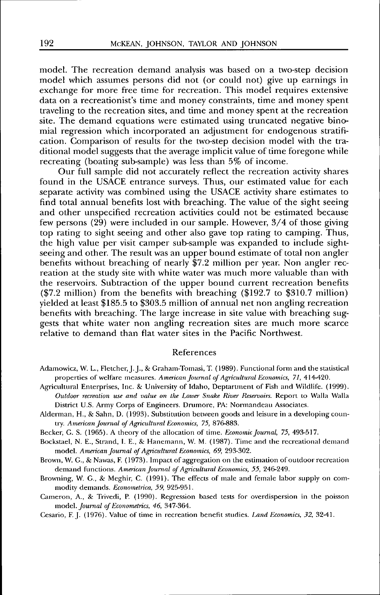model. The recreation demand analysis was based on a two-step decision model wbicb assumes persons did not (or could not) give up earnings in exchange for more free time for recreation. This model requires extensive data on a recreationist's time and money constraints, time and money spent traveling to tbe recreation sites, and time and money spent at the recreation site. The demand equations were estimated using truncated negative binomial regression which incorporated an adjustment for endogenous stratification. Comparison of results for the two-step decision model with the traditional model suggests tbat tbe average implicit value of time foregone wbile recreating (boating sub-sample) was less than 5% of income.

Our full sample did not accurately reflect tbe recreation activity sbares found in the USACE entrance surveys. Thus, our estimated value for each separate activity was combined using the USACE activity share estimates to find total annual benefits lost with breaching. The value of the sight seeing and other unspecified recreation activities could not be estimated because few persons (29) were included in our sample. However, 3/4 of those giving top rating to sight seeing and other also gave top rating to camping. Thus, tbe high value per visit camper sub-sample was expanded to include sightseeing and other. The result was an upper bound estimate of total non angler benefits without breaching of nearly \$7.2 million per year. Non angler recreation at the study site with white water was much more valuable than with the reservoirs. Subtraction of the upper bound current recreation benefits (\$7.2 million) from tbe benefits with breaching (\$192.7 to \$310.7 million) yielded at least \$185.5 to \$303.5 million of annual net non angling recreation benefits with breaching. The large increase in site value with breaching suggests that white water non angling recreation sites are much more scarce relative to demand tban flat water sites in the Pacific Northwest.

#### References

- Adamowicz, W. L., Fletcher,J.J., & Graham-Tomasi, T. (1989). Funclional form and ihe stalistical properties of welfare measures. *Ametican Journal of Agricutlunit Economics, 71,* 414-420.
- Agricultural Enterprises, Inc. & LIniversity of Idaho, Deptartment of Fish and Wildlife. (1999). *Outdoor recreation use and value on the Lozuer Snake River Reservoirs.* Report to Walla Walla District U.S. Army Corps of Engineers. Drumore, PA: Normandeau Associates.
- Alderman, H., & Sahn, D. (1993). Substittition between goods and leistire in a developing country. American Journal of Agricultural Economics, 75, 876-883.
- Becker, G. S. (1965). A theory of the allocation of time. *Economic Journal*, 75, 493-517.

Bockstael, N. E., Strand, I. E., & Hanemann, W. M. (1987). Time and the recreational demand model. *American Journal of Agricultural Economics, 69,* 293-302.

Brown, W. G., & Nawas, F. (1973). Impact of aggregation on the estimation of outdoor recreation demand functions. American Journal of Agricultural Economics, 55, 246-249.

Browning, W. G., & Meghir, G. (1991). The effects of male and female labor supply on commodity demands. *Econometrica, 59,* 925-951.

Gameron, A., & Trivedi, P. (1990). Regression hased tests for overdispersion in the poisson *vaodc\. Journal of Econometrics, 46,* 347-364.

Gesario, F. J. (1976). Valtie of time in recreation benefit sttidies. *t^and tLconomics, 32,* 32-41.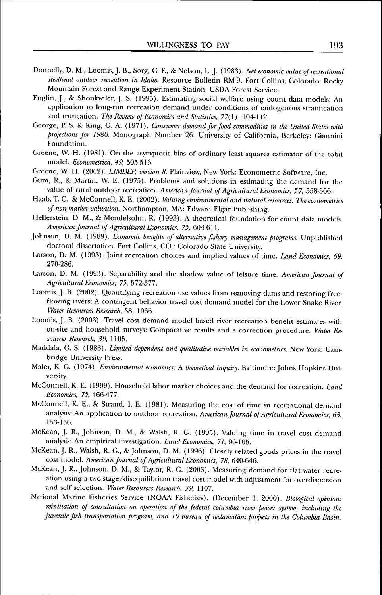- Donnelly, D. M., Loomis, J. B., Sorg, G. F., & Nelson, L. J. (1983). *Net economic value of recreational steelhead outdoor recreation in Idaho.* Resource Bulletin RM-9. Fort Gollins, Golorado: Rocky Mountain Forest and Range Experiment Station, USDA Forest Service.
- Englin, J., & Shonkwiler, J. S. (1995). Estimating social welfare using count data models; An application to long-run recreation demand under conditions of endogenous stratification and truncation. *The Review of Economics and Statistics,* 77(t), 104-112.
- George, P. S. & King, G. A. (1971). *Consumer demand for food commodities in the United States xuith projections for 1980.* Monograph Number 26. LIniversity of Galifornia, Berkeley: Giannini Foundation.
- Greene, W. H. (1981). On the asymptotic bias of ordinary least squares estimator of the tobit model. *Econometrica, 49,* 505-513.
- Greene, W. H. (2002). *IJMDEP, version 8.* Plainview, New York: Econometric Software, Inc.
- Gum, R., & Martin, W. E. (1975). Problems and solutions in estimating the demand for the value of rural outdoor recreation. *American Journal of Agricultural Economics, 57,* 558-566.
- Haab, T. G., & McGonnell, K. E. (2002). *Valuing environmental and natural resources: The econometrics of non-market valuation.* Northampton, MA: Edward Elgar Publishing.
- Hellerstein, D. M., & Mendelsohn, R. (1993). A theoretical foundation for count data models. *American Journal of Agricultural Economics, 75,* 604-611.
- Johnson, D. M. (1989). *Economic benefits of alternative fishery management programs*. Unpublished doctoral dissertation. Fort Gollins, GO.: Golorado State University.
- Larson, D. M. (1993). Joint recreation choices and implied values of time. *Land Economics, 69,* 270-286.
- Larson, D. M. (1993). Separability and the shadow value of leisure time. *American Journal oJ Agricultural Economics, 75, bl2-bll.*
- Loomis, J. B. (2002). Quantifying recreation use values from removing dams and restoring freeflowing rivers: A contingent behavior travel cost demand model for the Lower Snake River. *Water Resources Research,* 38, 1066.
- Loomis, J. B. (2003). Travel cost demand model based river recreation benefit estimates with on-site and household surveys: Gomparative results and a correction procedure. *Watei- Resources Research, 39,* 1105.
- Maddala, G. S. (1983). *Limited dependent and qualitative variables in econometrics.* New York: Gambridge University Press.
- Maier, K. G. (1974). *Environmental economics: A theoretical inquiry.* Baltimore: Johns Hopkins University.
- McConnell, K. E. (1999). Household labor market choices and the demand for recreation. *Land Economics, 75,* 466-477.
- McGonnell, K. E., & Strand, I. E. (1981). Measuring the cost of time in recreational demand analysis: An application to outdoor recreation. American Journal of Agricultural Economics, 63, 1.53-156.
- McKean, J. R., Johnson, D. M., & Walsh, R. G. (1995). Valuing time in travel cost demand analysis: An empirical investigation. *Land Economics, 71,* 96-105.
- McKean, J. R., Walsh, R. G., & Johnson, D. M. (1996). Closely related goods prices in the travel cost model. *American Journal of Agricultural Economics, 78,* 640-646.
- McKean, J. R., Johnson, D. M., & Taylor, R. G. (2003). Measuring demand for flat water recreation using a two stage/disequilibrium travel cost model with adjustment for overdispersion and self selection. *Water Resources Research, 39,* 1107.
- National Marine Fisheries Service (NOAA Fisheries). (December 1, 2000). *Biological opinion: reinitiation of consultation on operation of the federal Columbia river power system, including the juvenile fish transportation program, and 19 bureau of reclamation projects in the Columbia Basin.*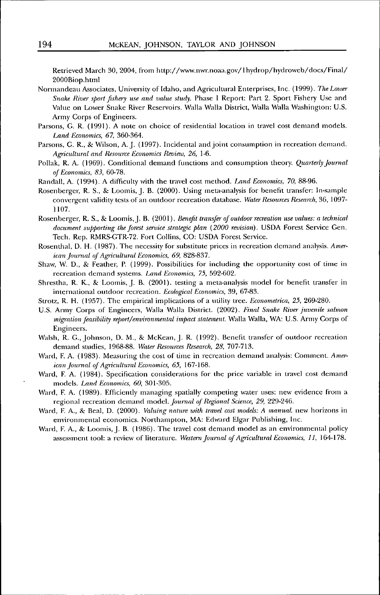Retrieved March 30, 2004, from http://www.nwr.noaa.gov/lhydrop/hydroweb/docs/Final/ 2000Biop.html

- Normandeau Associates, University of Idaho, and Agrictilttiral Enterprises, Inc. (1999). *TheLower Snake River sport fishery use and value study.* Phase I Report: Part 2. Sport Fishery Use and Value on Lower Snake River Reservoirs. Walla Walla District, Walla Walla Washington: U.S. Army Gorps of Engineers.
- Parsons, G. R. (1991). A note on choice of residential location in travel cost demand models. *Land Economics, 67,* 360-364.
- Parsons, G. R., & Wilson, A. J. (1997). Incidental and joint consumption in recreation demand. *Agricultural and Resource Economics Reviao, 26,* 1-6.
- Pollak, R. A. (1969). Conditional demand functions and consumption theory. *Quarterly Journal of Economics, 83,* 60-78.
- Randall, A. (1994). A difficulty with the travel cost method. *Land Economics, 70,* 88-96.
- Rosenberger, R. S., & Loomis, J. B. (2000). Using meta-analysis for benefit transfer: In-sample convergent validity tests of an outdoor recreation database. Water Resources Research, 36, 1097-1107.
- Rosenberger, R. S., & Loomis,J. B. (2001). *Benefit transfer of outdoor recreation usevalues: a technical* document supporting the forest service strategic plan (2000 revision). USDA Forest Service Gen. Tech. Rep. RMRS-GTR-72. Fort Gollins, GO: USDA Forest Service.
- Rosenthal, D. H. (1987). The necessity for substitute prices in recreation demand analysis. *American Journal of Agricultural Economics, 69,* 828-837.
- Shaw, W. D., & Feather, P. (1999). Possibilities for including the opportunity cost of time in recreation demand systems. *Land Economics, 75,* 592-602.
- Shrestha, R. K., & Loomis, J. B. (2001). testing a meta-analysis model for benefit transfer in international otitdoor recreation. *Ecological Economics,* 39, 67-83.
- Strotz, R. H. (1957). The empirical implications of a utility tree. *Econometrica, 25,* 269-280.
- U.S. Army Gorps of Engineers, Walla Walla District. (2002). *Final Snake River juvenile salmon migiation feasibility rejmrt/environmental impact statement.* Walla Walla, WA: U.S. Army Gorps of Engineers.
- Walsh, R. G., Johnson, D. M., & McKean, J. R. (1992). Benefit transfer of outdoor recreation demand studies, 1968-88. *Water Resources Research, 28,* 707-713.
- Ward, F. A. (1983). Meastiring the cost of time in recreation demand analysis: Gomment. *American Journal of Agricultural Economics, 65,* 167-168.
- Ward, F. A. (1984). Specification considerations for the price variable in travel cost demand models. *Land Economics, 60,* 301-305.
- Ward, F. A. (1989). Efficiently managing spatially competing water uses: new evidence from a regional recreation demand model. *Journal of Regional Science, 29,* 229-246.
- Ward, F. A., & Beal, D. (2000). *Valuing nature with travel cost models: A manual*, new horizons in environmental economics. Northampton, MA: Edward Elgar Publishing, Inc.
- Ward, F. A., & Loomis, J. B. (1986). The travel cost demand model as an environmental policy assessment tool: a review of literattire. *Westem Jonmal of Agricultural Economics, IJ,* 164-178.